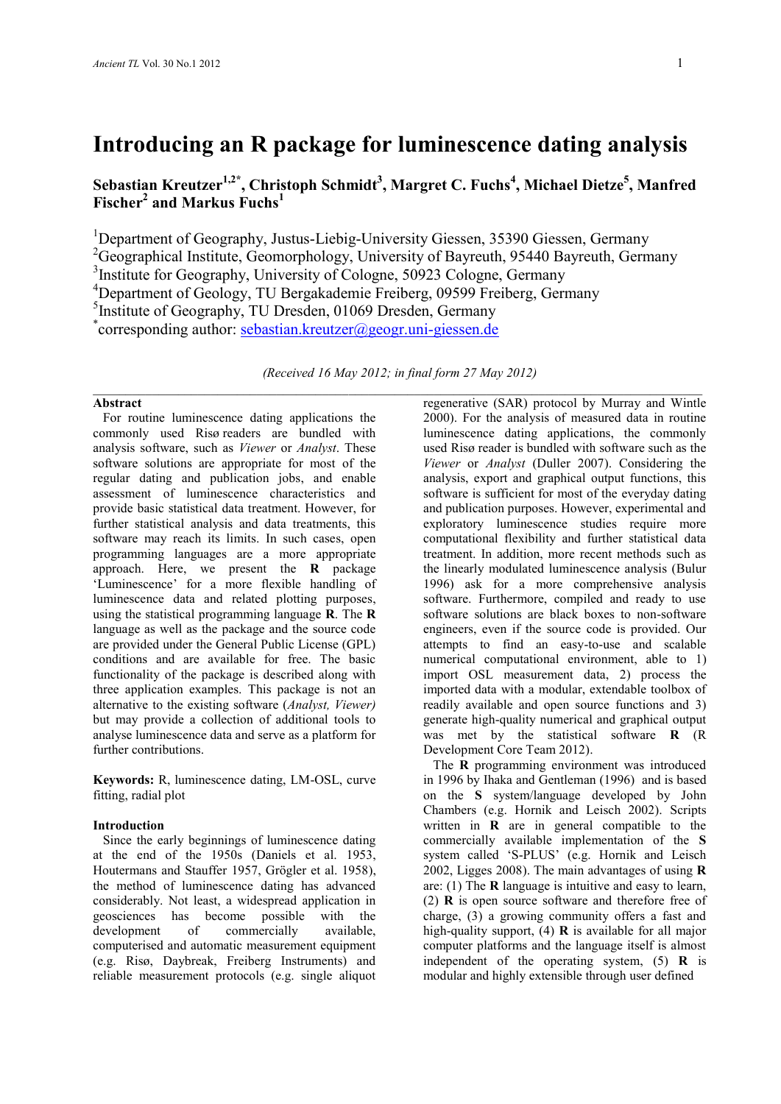# **Introducing an R package for luminescence dating analysis**

**Sebastian Kreutzer1,2\*, Christoph Schmidt<sup>3</sup> , Margret C. Fuchs<sup>4</sup> , Michael Dietze<sup>5</sup> , Manfred Fischer<sup>2</sup> and Markus Fuchs<sup>1</sup>**

<sup>1</sup>Department of Geography, Justus-Liebig-University Giessen, 35390 Giessen, Germany

<sup>2</sup>Geographical Institute, Geomorphology, University of Bayreuth, 95440 Bayreuth, Germany

<sup>3</sup>Institute for Geography, University of Cologne, 50923 Cologne, Germany

<sup>4</sup>Department of Geology, TU Bergakademie Freiberg, 09599 Freiberg, Germany

<sup>5</sup>Institute of Geography, TU Dresden, 01069 Dresden, Germany

\*corresponding author: [sebastian.kreutzer@geogr.uni-giessen.de](mailto:sebastian.kreutzer@geogr.uni-giessen.de)

*(Received 16 May 2012; in final form 27 May 2012)*  $\mathcal{L}_\mathcal{L} = \{ \mathcal{L}_\mathcal{L} = \{ \mathcal{L}_\mathcal{L} = \{ \mathcal{L}_\mathcal{L} = \{ \mathcal{L}_\mathcal{L} = \{ \mathcal{L}_\mathcal{L} = \{ \mathcal{L}_\mathcal{L} = \{ \mathcal{L}_\mathcal{L} = \{ \mathcal{L}_\mathcal{L} = \{ \mathcal{L}_\mathcal{L} = \{ \mathcal{L}_\mathcal{L} = \{ \mathcal{L}_\mathcal{L} = \{ \mathcal{L}_\mathcal{L} = \{ \mathcal{L}_\mathcal{L} = \{ \mathcal{L}_\mathcal{$ 

### **Abstract**

 For routine luminescence dating applications the commonly used Risø readers are bundled with analysis software, such as *Viewer* or *Analyst*. These software solutions are appropriate for most of the regular dating and publication jobs, and enable assessment of luminescence characteristics and provide basic statistical data treatment. However, for further statistical analysis and data treatments, this software may reach its limits. In such cases, open programming languages are a more appropriate approach. Here, we present the **R** package 'Luminescence' for a more flexible handling of luminescence data and related plotting purposes, using the statistical programming language **R**. The **R** language as well as the package and the source code are provided under the General Public License (GPL) conditions and are available for free. The basic functionality of the package is described along with three application examples. This package is not an alternative to the existing software (*Analyst, Viewer)* but may provide a collection of additional tools to analyse luminescence data and serve as a platform for further contributions.

**Keywords:** R, luminescence dating, LM-OSL, curve fitting, radial plot

## **Introduction**

 Since the early beginnings of luminescence dating at the end of the 1950s (Daniels et al. 1953, Houtermans and Stauffer 1957, Grögler et al. 1958), the method of luminescence dating has advanced considerably. Not least, a widespread application in geosciences has become possible with the development of commercially available, computerised and automatic measurement equipment (e.g. Risø, Daybreak, Freiberg Instruments) and reliable measurement protocols (e.g. single aliquot regenerative (SAR) protocol by Murray and Wintle 2000). For the analysis of measured data in routine luminescence dating applications, the commonly used Risø reader is bundled with software such as the *Viewer* or *Analyst* (Duller 2007). Considering the analysis, export and graphical output functions, this software is sufficient for most of the everyday dating and publication purposes. However, experimental and exploratory luminescence studies require more computational flexibility and further statistical data treatment. In addition, more recent methods such as the linearly modulated luminescence analysis (Bulur 1996) ask for a more comprehensive analysis software. Furthermore, compiled and ready to use software solutions are black boxes to non-software engineers, even if the source code is provided. Our attempts to find an easy-to-use and scalable numerical computational environment, able to 1) import OSL measurement data, 2) process the imported data with a modular, extendable toolbox of readily available and open source functions and 3) generate high-quality numerical and graphical output was met by the statistical software **R** (R Development Core Team 2012).

 The **R** programming environment was introduced in 1996 by Ihaka and Gentleman (1996) and is based on the **S** system/language developed by John Chambers (e.g. Hornik and Leisch 2002). Scripts written in **R** are in general compatible to the commercially available implementation of the **S** system called 'S-PLUS' (e.g. Hornik and Leisch 2002, Ligges 2008). The main advantages of using **R**  are: (1) The **R** language is intuitive and easy to learn, (2) **R** is open source software and therefore free of charge, (3) a growing community offers a fast and high-quality support, (4) **R** is available for all major computer platforms and the language itself is almost independent of the operating system, (5) **R** is modular and highly extensible through user defined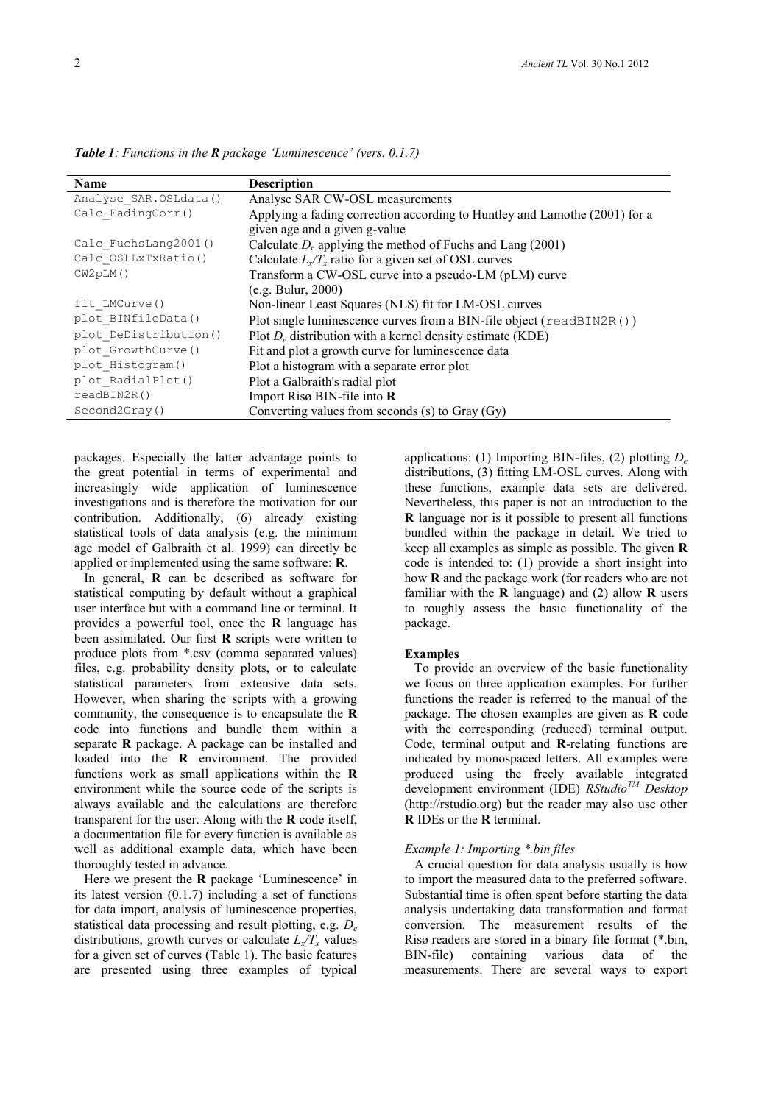**Name Description**<br>Analyse SAR. OSLdata() **Analyse SA** Analyse\_SAR.OSLdata() Analyse SAR CW-OSL measurements<br>Calc FadingCorr() Applying a fading correction according Applying a fading correction according to Huntley and Lamothe (2001) for a given age and a given g-value Calc\_FuchsLang2001() Calculate  $D_e$  applying the method of Fuchs and Lang (2001) Calc\_OSLLxTxRatio()<br>CW2pLM() Calculate  $L_x/T_x$  ratio for a given set of OSL curves Transform a CW-OSL curve into a pseudo-LM (pLM) curve (e.g. Bulur, 2000) fit\_LMCurve() Non-linear Least Squares (NLS) fit for LM-OSL curves plot\_BINfileData() Plot single luminescence curves from a BIN-file object (readBIN2R()) plot\_DeDistribution() Plot  $D_e$  distribution with a kernel density estimate (KDE)<br>plot GrowthCurve() Fit and plot a growth curve for luminescence data plot\_GrowthCurve() Fit and plot a growth curve for luminescence data<br>plot Histogram() Plot a histogram with a separate error plot plot\_Histogram() Plot a histogram with a separate error plot<br>plot RadialPlot() Plot a Galbraith's radial plot Plot a Galbraith's radial plot readBIN2R() Import Risø BIN-file into **R**  Second2Gray() Converting values from seconds (s) to Gray (Gy)

*Table 1: Functions in the R package 'Luminescence' (vers. 0.1.7)*

packages. Especially the latter advantage points to the great potential in terms of experimental and increasingly wide application of luminescence investigations and is therefore the motivation for our contribution. Additionally, (6) already existing statistical tools of data analysis (e.g. the minimum age model of Galbraith et al. 1999) can directly be applied or implemented using the same software: **R**.

 In general, **R** can be described as software for statistical computing by default without a graphical user interface but with a command line or terminal. It provides a powerful tool, once the **R** language has been assimilated. Our first **R** scripts were written to produce plots from \*.csv (comma separated values) files, e.g. probability density plots, or to calculate statistical parameters from extensive data sets. However, when sharing the scripts with a growing community, the consequence is to encapsulate the **R** code into functions and bundle them within a separate **R** package. A package can be installed and loaded into the **R** environment. The provided functions work as small applications within the **R** environment while the source code of the scripts is always available and the calculations are therefore transparent for the user. Along with the **R** code itself, a documentation file for every function is available as well as additional example data, which have been thoroughly tested in advance.

 Here we present the **R** package 'Luminescence' in its latest version (0.1.7) including a set of functions for data import, analysis of luminescence properties, statistical data processing and result plotting, e.g. *D<sup>e</sup>* distributions, growth curves or calculate  $L_x/T_x$  values for a given set of curves (Table 1). The basic features are presented using three examples of typical

applications: (1) Importing BIN-files, (2) plotting *D<sup>e</sup>* distributions, (3) fitting LM-OSL curves. Along with these functions, example data sets are delivered. Nevertheless, this paper is not an introduction to the **R** language nor is it possible to present all functions bundled within the package in detail. We tried to keep all examples as simple as possible. The given **R** code is intended to: (1) provide a short insight into how **R** and the package work (for readers who are not familiar with the **R** language) and (2) allow **R** users to roughly assess the basic functionality of the package.

### **Examples**

 To provide an overview of the basic functionality we focus on three application examples. For further functions the reader is referred to the manual of the package. The chosen examples are given as **R** code with the corresponding (reduced) terminal output. Code, terminal output and **R**-relating functions are indicated by monospaced letters. All examples were produced using the freely available integrated development environment (IDE) *RStudioTM Desktop*  (http://rstudio.org) but the reader may also use other **R** IDEs or the **R** terminal.

#### *Example 1: Importing \*.bin files*

 A crucial question for data analysis usually is how to import the measured data to the preferred software. Substantial time is often spent before starting the data analysis undertaking data transformation and format conversion. The measurement results of the Risø readers are stored in a binary file format (\*.bin, BIN-file) containing various data of the measurements. There are several ways to export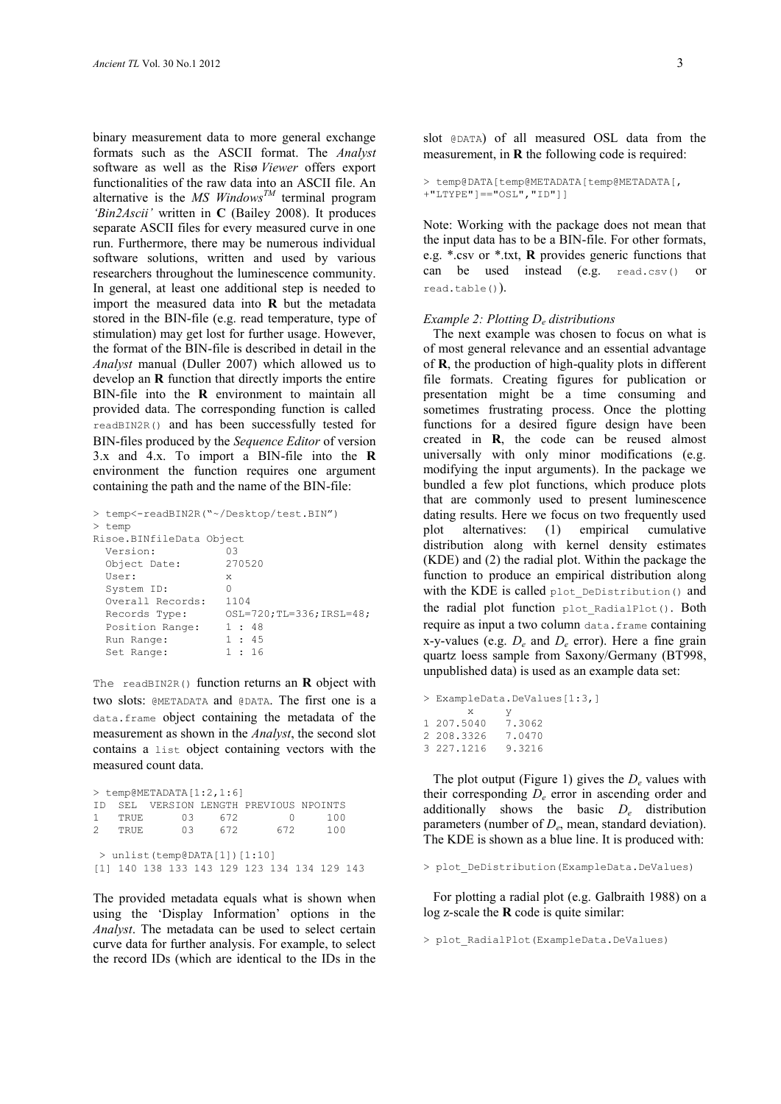binary measurement data to more general exchange formats such as the ASCII format. The *Analyst* software as well as the Risø *Viewer* offers export functionalities of the raw data into an ASCII file. An alternative is the *MS Windows*<sup>*TM*</sup> terminal program 'Bin2Ascii' written in **C** (Bailey 2008). It produces separate ASCII files for every measured curve in one run. Furthermore, there may be numerous individual software solutions, written and used by various researchers throughout the luminescence community. In general, at least one additional step is needed to import the measured data into **R** but the metadata stored in the BIN-file (e.g. read temperature, type of stimulation) may get lost for further usage. However, the format of the BIN-file is described in detail in the *Analyst* manual (Duller 2007) which allowed us to develop an **R** function that directly imports the entire BIN-file into the **R** environment to maintain all provided data. The corresponding function is called readBIN2R() and has been successfully tested for BIN-files produced by the *Sequence Editor* of version 3.x and 4.x. To import a BIN-file into the **R** environment the function requires one argument containing the path and the name of the BIN-file:

|                          | > temp<-readBIN2R("~/Desktop/test.BIN") |      |  |                         |  |  |
|--------------------------|-----------------------------------------|------|--|-------------------------|--|--|
|                          | > temp                                  |      |  |                         |  |  |
| Risoe.BINfileData Object |                                         |      |  |                         |  |  |
|                          | Version:                                | 03   |  |                         |  |  |
|                          | Object Date:                            |      |  | 270520                  |  |  |
|                          | User:                                   | X    |  |                         |  |  |
|                          | System ID:                              | 0    |  |                         |  |  |
|                          | Overall Records:                        | 1104 |  |                         |  |  |
|                          | Records Type:                           |      |  | OSL=720;TL=336;IRSL=48; |  |  |
|                          | Position Range:                         |      |  | 1:48                    |  |  |
|                          | Run Range:                              |      |  | 1:45                    |  |  |
|                          | Set Range:                              |      |  | 1:16                    |  |  |

The readBIN2R() function returns an **R** object with two slots: @METADATA and @DATA. The first one is a data.frame object containing the metadata of the measurement as shown in the *Analyst*, the second slot contains a list object containing vectors with the measured count data.

|                                  |        | $>$ temp@METADATA $[1:2,1:6]$ |     |                                             |     |  |  |  |
|----------------------------------|--------|-------------------------------|-----|---------------------------------------------|-----|--|--|--|
|                                  |        |                               |     | ID SEL VERSION LENGTH PREVIOUS NPOINTS      |     |  |  |  |
|                                  | 1 TRUE | 03                            | 672 | $^{(1)}$                                    | 100 |  |  |  |
|                                  | 2 TRUE | 03                            | 672 | 672.                                        | 100 |  |  |  |
| $>$ unlist (temp@DATA[1]) [1:10] |        |                               |     |                                             |     |  |  |  |
|                                  |        |                               |     | [1] 140 138 133 143 129 123 134 134 129 143 |     |  |  |  |

The provided metadata equals what is shown when using the 'Display Information' options in the *Analyst*. The metadata can be used to select certain curve data for further analysis. For example, to select the record IDs (which are identical to the IDs in the

slot @DATA) of all measured OSL data from the measurement, in **R** the following code is required:

```
> temp@DATA[temp@METADATA[temp@METADATA[,
+"LTYPE"]=="OSL","ID"]]
```
Note: Working with the package does not mean that the input data has to be a BIN-file. For other formats, e.g. \*.csv or \*.txt, **R** provides generic functions that can be used instead (e.g. read.csv() or read.table()).

#### *Example 2: Plotting D<sup>e</sup> distributions*

 The next example was chosen to focus on what is of most general relevance and an essential advantage of **R**, the production of high-quality plots in different file formats. Creating figures for publication or presentation might be a time consuming and sometimes frustrating process. Once the plotting functions for a desired figure design have been created in **R**, the code can be reused almost universally with only minor modifications (e.g. modifying the input arguments). In the package we bundled a few plot functions, which produce plots that are commonly used to present luminescence dating results. Here we focus on two frequently used plot alternatives: (1) empirical cumulative distribution along with kernel density estimates (KDE) and (2) the radial plot. Within the package the function to produce an empirical distribution along with the KDE is called plot DeDistribution() and the radial plot function plot RadialPlot(). Both require as input a two column data.frame containing x-y-values (e.g.  $D_e$  and  $D_e$  error). Here a fine grain quartz loess sample from Saxony/Germany (BT998, unpublished data) is used as an example data set:

```
> ExampleData.DeValues[1:3,]
         \begin{array}{cc} x & y \\ 5040 & 7.3062 \end{array}1 207.5040
2 208.3326 7.0470
3 227.1216 9.3216
```
 The plot output (Figure 1) gives the *D<sup>e</sup>* values with their corresponding *D<sup>e</sup>* error in ascending order and additionally shows the basic *D<sup>e</sup>* distribution parameters (number of *D<sup>e</sup>* , mean, standard deviation). The KDE is shown as a blue line. It is produced with:

> plot\_DeDistribution(ExampleData.DeValues)

 For plotting a radial plot (e.g. Galbraith 1988) on a log z-scale the **R** code is quite similar:

> plot RadialPlot(ExampleData.DeValues)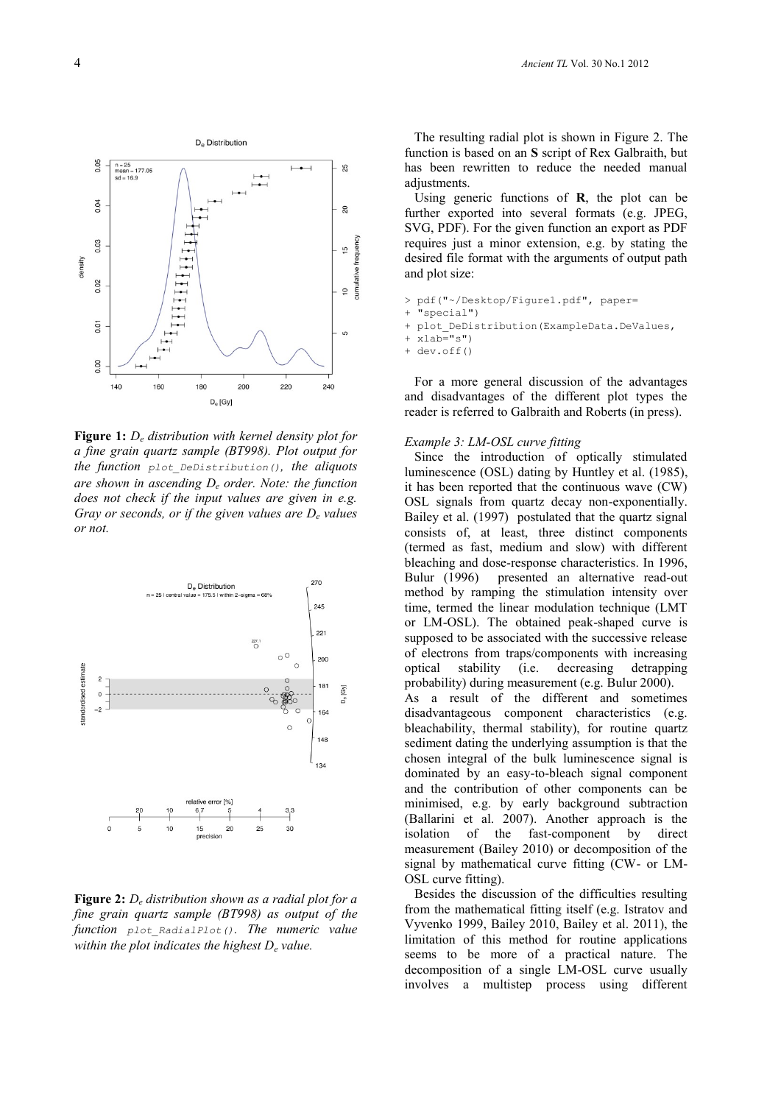

**Figure 1:** *D<sup>e</sup> distribution with kernel density plot for a fine grain quartz sample (BT998). Plot output for the function plot\_DeDistribution(), the aliquots are shown in ascending D<sup>e</sup> order. Note: the function does not check if the input values are given in e.g. Gray or seconds, or if the given values are D<sup>e</sup> values or not.* 



**Figure 2:** *D<sup>e</sup> distribution shown as a radial plot for a fine grain quartz sample (BT998) as output of the function plot\_RadialPlot(). The numeric value within the plot indicates the highest D<sup>e</sup> value.* 

 The resulting radial plot is shown in Figure 2. The function is based on an **S** script of Rex Galbraith, but has been rewritten to reduce the needed manual adjustments.

 Using generic functions of **R**, the plot can be further exported into several formats (e.g. JPEG, SVG, PDF). For the given function an export as PDF requires just a minor extension, e.g. by stating the desired file format with the arguments of output path and plot size:

"special")

+ dev.off()

 For a more general discussion of the advantages and disadvantages of the different plot types the reader is referred to Galbraith and Roberts (in press).

#### *Example 3: LM-OSL curve fitting*

 Since the introduction of optically stimulated luminescence (OSL) dating by Huntley et al. (1985), it has been reported that the continuous wave (CW) OSL signals from quartz decay non-exponentially. Bailey et al. (1997) postulated that the quartz signal consists of, at least, three distinct components (termed as fast, medium and slow) with different bleaching and dose-response characteristics. In 1996, Bulur (1996) presented an alternative read-out method by ramping the stimulation intensity over time, termed the linear modulation technique (LMT or LM-OSL). The obtained peak-shaped curve is supposed to be associated with the successive release of electrons from traps/components with increasing optical stability (i.e. decreasing detrapping probability) during measurement (e.g. Bulur 2000). As a result of the different and sometimes disadvantageous component characteristics (e.g. bleachability, thermal stability), for routine quartz sediment dating the underlying assumption is that the chosen integral of the bulk luminescence signal is dominated by an easy-to-bleach signal component and the contribution of other components can be minimised, e.g. by early background subtraction (Ballarini et al. 2007). Another approach is the isolation of the fast-component by direct measurement (Bailey 2010) or decomposition of the signal by mathematical curve fitting (CW- or LM-OSL curve fitting).

 Besides the discussion of the difficulties resulting from the mathematical fitting itself (e.g. Istratov and Vyvenko 1999, Bailey 2010, Bailey et al. 2011), the limitation of this method for routine applications seems to be more of a practical nature. The decomposition of a single LM-OSL curve usually involves a multistep process using different

<sup>&</sup>gt; pdf("~/Desktop/Figure1.pdf", paper=

<sup>+</sup> plot DeDistribution(ExampleData.DeValues,

<sup>+</sup> xlab="s")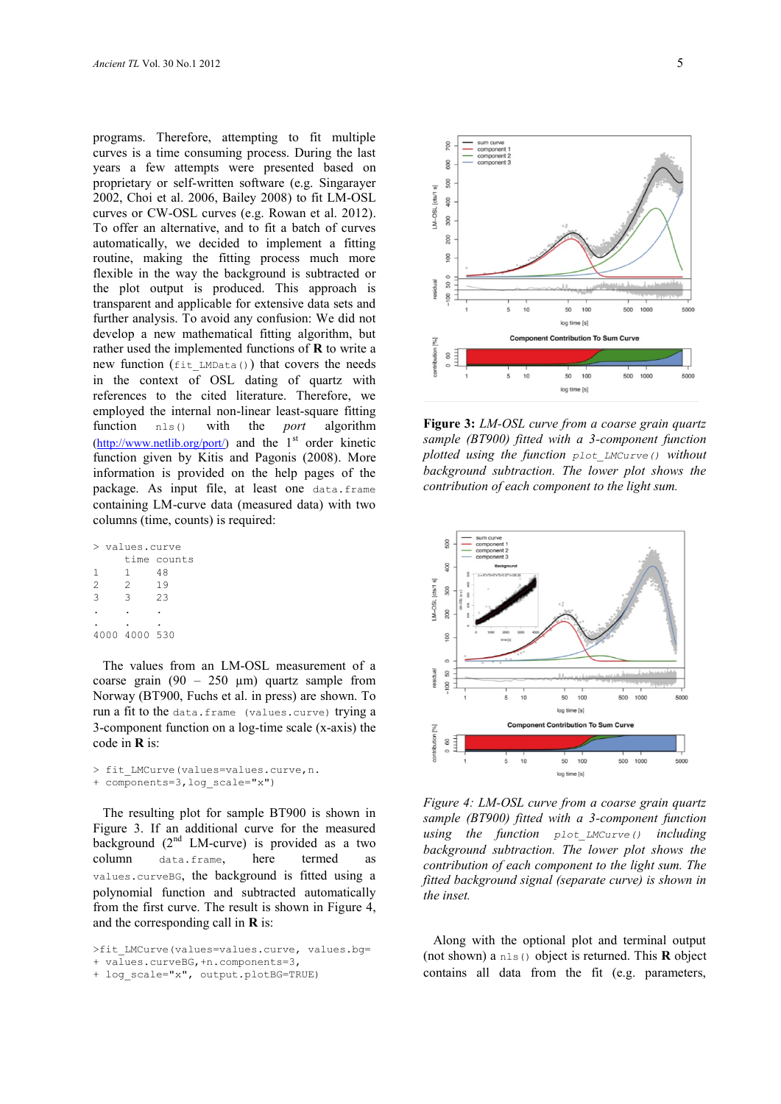programs. Therefore, attempting to fit multiple curves is a time consuming process. During the last years a few attempts were presented based on proprietary or self-written software (e.g. Singarayer 2002, Choi et al. 2006, Bailey 2008) to fit LM-OSL curves or CW-OSL curves (e.g. Rowan et al. 2012). To offer an alternative, and to fit a batch of curves automatically, we decided to implement a fitting routine, making the fitting process much more flexible in the way the background is subtracted or the plot output is produced. This approach is transparent and applicable for extensive data sets and further analysis. To avoid any confusion: We did not develop a new mathematical fitting algorithm, but rather used the implemented functions of **R** to write a new function (fit\_LMData()) that covers the needs in the context of OSL dating of quartz with references to the cited literature. Therefore, we employed the internal non-linear least-square fitting function nls() with the *port* algorithm  $(\frac{http://www.netlib.org/port/}{http://www.netlib.org/port/}{and the 1<sup>st</sup> order kinetic})$ function given by Kitis and Pagonis (2008). More information is provided on the help pages of the package. As input file, at least one data.frame containing LM-curve data (measured data) with two columns (time, counts) is required:

|                | > values.curve |             |  |  |  |
|----------------|----------------|-------------|--|--|--|
|                |                | time counts |  |  |  |
| 1              | 1.             | 48          |  |  |  |
| $\mathcal{D}$  | $\mathfrak{D}$ | 19          |  |  |  |
| $\overline{3}$ | 3              | 2.3         |  |  |  |
|                |                |             |  |  |  |
|                |                |             |  |  |  |
|                | 4000 4000 530  |             |  |  |  |

 The values from an LM-OSL measurement of a coarse grain  $(90 - 250 \mu m)$  quartz sample from Norway (BT900, Fuchs et al. in press) are shown. To run a fit to the data.frame (values.curve) trying a 3-component function on a log-time scale (x-axis) the code in **R** is:

```
> fit LMCurve(values=values.curve, n.
+ components=3,log_scale="x")
```
 The resulting plot for sample BT900 is shown in Figure 3. If an additional curve for the measured background  $(2<sup>nd</sup> LM-curve)$  is provided as a two column data.frame, here termed as values.curveBG, the background is fitted using a polynomial function and subtracted automatically from the first curve. The result is shown in Figure 4, and the corresponding call in **R** is:

>fit LMCurve(values=values.curve, values.bg= + values.curveBG,+n.components=3,





**Figure 3:** *LM-OSL curve from a coarse grain quartz sample (BT900) fitted with a 3-component function plotted using the function plot\_LMCurve() without background subtraction. The lower plot shows the contribution of each component to the light sum.* 



*Figure 4: LM-OSL curve from a coarse grain quartz sample (BT900) fitted with a 3-component function using the function plot\_LMCurve() including background subtraction. The lower plot shows the contribution of each component to the light sum. The fitted background signal (separate curve) is shown in the inset.*

 Along with the optional plot and terminal output (not shown) a nls() object is returned. This **R** object contains all data from the fit (e.g. parameters,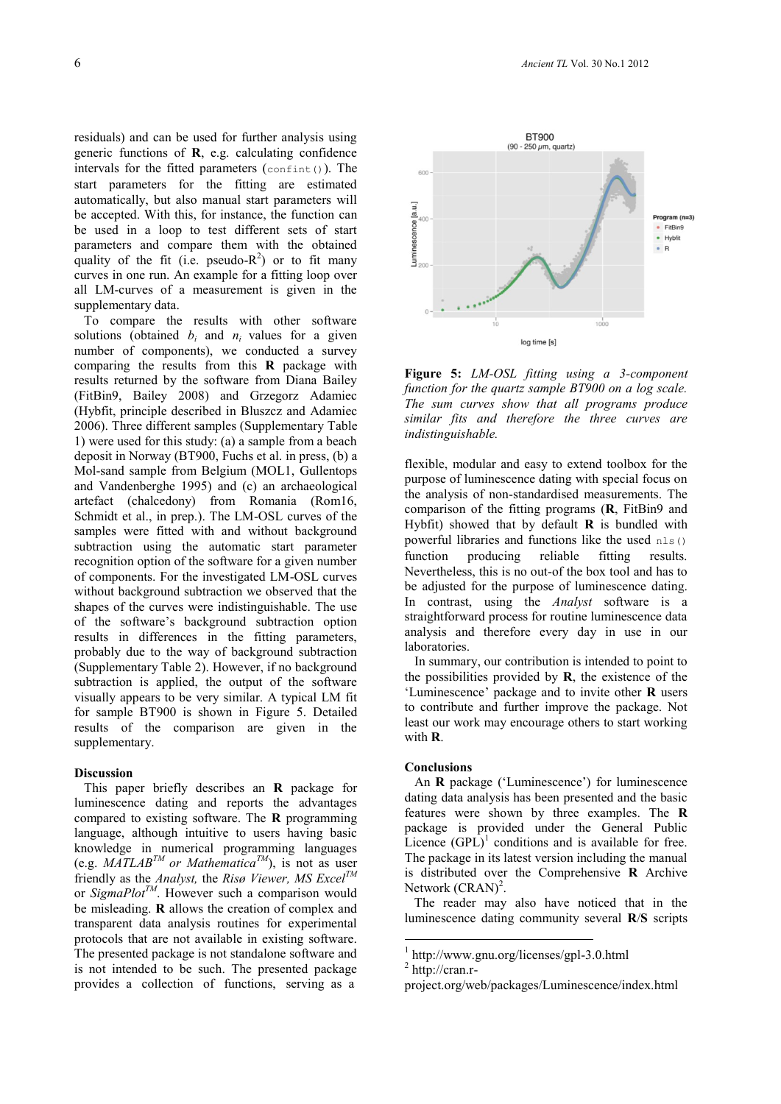residuals) and can be used for further analysis using generic functions of **R**, e.g. calculating confidence intervals for the fitted parameters  $(\text{confint}()$ ). The start parameters for the fitting are estimated automatically, but also manual start parameters will be accepted. With this, for instance, the function can be used in a loop to test different sets of start parameters and compare them with the obtained quality of the fit (i.e. pseudo- $R^2$ ) or to fit many curves in one run. An example for a fitting loop over all LM-curves of a measurement is given in the supplementary data.

 To compare the results with other software solutions (obtained  $b_i$  and  $n_i$  values for a given number of components), we conducted a survey comparing the results from this **R** package with results returned by the software from Diana Bailey (FitBin9, Bailey 2008) and Grzegorz Adamiec (Hybfit, principle described in Bluszcz and Adamiec 2006). Three different samples (Supplementary Table 1) were used for this study: (a) a sample from a beach deposit in Norway (BT900, Fuchs et al. in press, (b) a Mol-sand sample from Belgium (MOL1, Gullentops and Vandenberghe 1995) and (c) an archaeological artefact (chalcedony) from Romania (Rom16, Schmidt et al., in prep.). The LM-OSL curves of the samples were fitted with and without background subtraction using the automatic start parameter recognition option of the software for a given number of components. For the investigated LM-OSL curves without background subtraction we observed that the shapes of the curves were indistinguishable. The use of the software's background subtraction option results in differences in the fitting parameters, probably due to the way of background subtraction (Supplementary Table 2). However, if no background subtraction is applied, the output of the software visually appears to be very similar. A typical LM fit for sample BT900 is shown in Figure 5. Detailed results of the comparison are given in the supplementary.

#### **Discussion**

 This paper briefly describes an **R** package for luminescence dating and reports the advantages compared to existing software. The **R** programming language, although intuitive to users having basic knowledge in numerical programming languages (e.g.  $MATLAB^{TM}$  or Mathematica<sup>TM</sup>), is not as user friendly as the *Analyst,* the *Risø Viewer, MS ExcelTM* or *SigmaPlotTM* . However such a comparison would be misleading. **R** allows the creation of complex and transparent data analysis routines for experimental protocols that are not available in existing software. The presented package is not standalone software and is not intended to be such. The presented package provides a collection of functions, serving as a



**Figure 5:** *LM-OSL fitting using a 3-component function for the quartz sample BT900 on a log scale. The sum curves show that all programs produce similar fits and therefore the three curves are indistinguishable.*

flexible, modular and easy to extend toolbox for the purpose of luminescence dating with special focus on the analysis of non-standardised measurements. The comparison of the fitting programs (**R**, FitBin9 and Hybfit) showed that by default **R** is bundled with powerful libraries and functions like the used  $nls()$ function producing reliable fitting results. Nevertheless, this is no out-of the box tool and has to be adjusted for the purpose of luminescence dating. In contrast, using the *Analyst* software is a straightforward process for routine luminescence data analysis and therefore every day in use in our laboratories.

 In summary, our contribution is intended to point to the possibilities provided by **R**, the existence of the 'Luminescence' package and to invite other **R** users to contribute and further improve the package. Not least our work may encourage others to start working with **R**.

#### **Conclusions**

 An **R** package ('Luminescence') for luminescence dating data analysis has been presented and the basic features were shown by three examples. The **R**  package is provided under the General Public Licence  $(GPL)^1$  conditions and is available for free. The package in its latest version including the manual is distributed over the Comprehensive **R** Archive Network  $(CRAN)^2$ .

 The reader may also have noticed that in the luminescence dating community several **R**/**S** scripts

1

<sup>1</sup> http://www.gnu.org/licenses/gpl-3.0.html

<sup>&</sup>lt;sup>2</sup> http://cran.r-

project.org/web/packages/Luminescence/index.html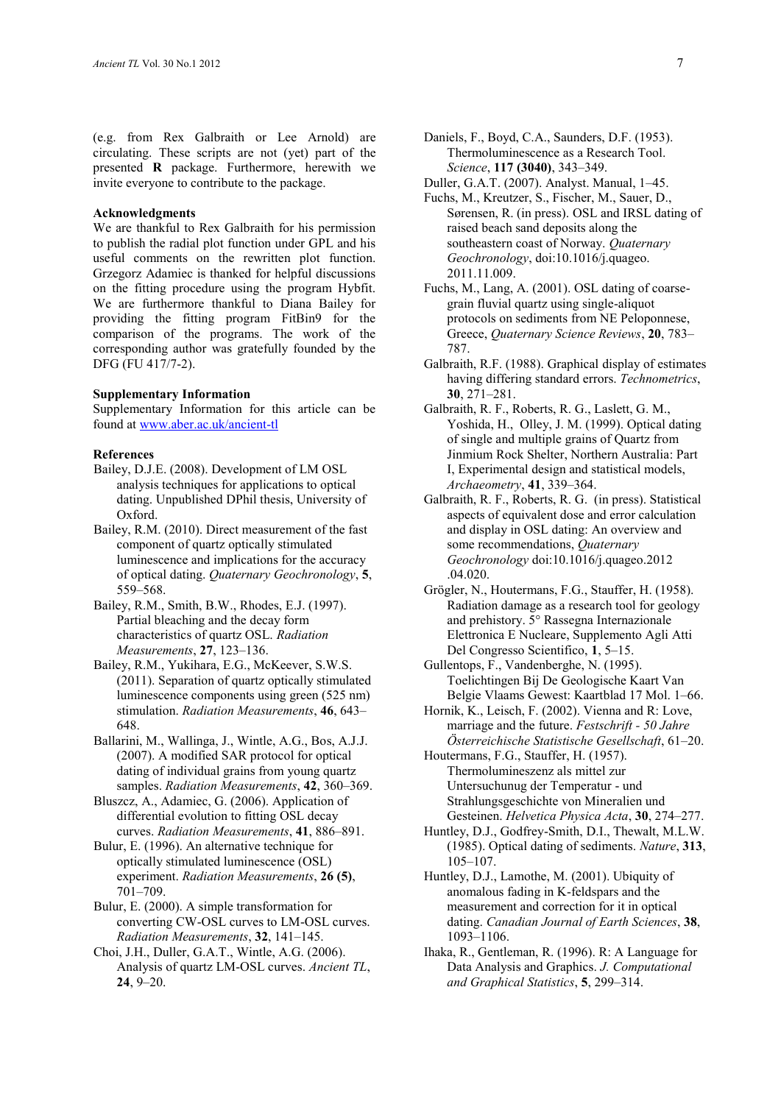(e.g. from Rex Galbraith or Lee Arnold) are circulating. These scripts are not (yet) part of the presented **R** package. Furthermore, herewith we invite everyone to contribute to the package.

#### **Acknowledgments**

We are thankful to Rex Galbraith for his permission to publish the radial plot function under GPL and his useful comments on the rewritten plot function. Grzegorz Adamiec is thanked for helpful discussions on the fitting procedure using the program Hybfit. We are furthermore thankful to Diana Bailey for providing the fitting program FitBin9 for the comparison of the programs. The work of the corresponding author was gratefully founded by the DFG (FU 417/7-2).

## **Supplementary Information**

Supplementary Information for this article can be found at<www.aber.ac.uk/ancient-tl>

#### **References**

- Bailey, D.J.E. (2008). Development of LM OSL analysis techniques for applications to optical dating. Unpublished DPhil thesis, University of Oxford.
- Bailey, R.M. (2010). Direct measurement of the fast component of quartz optically stimulated luminescence and implications for the accuracy of optical dating. *Quaternary Geochronology*, **5**, 559–568.
- Bailey, R.M., Smith, B.W., Rhodes, E.J. (1997). Partial bleaching and the decay form characteristics of quartz OSL. *Radiation Measurements*, **27**, 123–136.
- Bailey, R.M., Yukihara, E.G., McKeever, S.W.S. (2011). Separation of quartz optically stimulated luminescence components using green (525 nm) stimulation. *Radiation Measurements*, **46**, 643– 648.
- Ballarini, M., Wallinga, J., Wintle, A.G., Bos, A.J.J. (2007). A modified SAR protocol for optical dating of individual grains from young quartz samples. *Radiation Measurements*, **42**, 360–369.
- Bluszcz, A., Adamiec, G. (2006). Application of differential evolution to fitting OSL decay curves. *Radiation Measurements*, **41**, 886–891.
- Bulur, E. (1996). An alternative technique for optically stimulated luminescence (OSL) experiment. *Radiation Measurements*, **26 (5)**, 701–709.
- Bulur, E. (2000). A simple transformation for converting CW-OSL curves to LM-OSL curves. *Radiation Measurements*, **32**, 141–145.
- Choi, J.H., Duller, G.A.T., Wintle, A.G. (2006). Analysis of quartz LM-OSL curves. *Ancient TL*, **24**, 9–20.
- Daniels, F., Boyd, C.A., Saunders, D.F. (1953). Thermoluminescence as a Research Tool. *Science*, **117 (3040)**, 343–349.
- Duller, G.A.T. (2007). Analyst. Manual, 1–45.
- Fuchs, M., Kreutzer, S., Fischer, M., Sauer, D., Sørensen, R. (in press). OSL and IRSL dating of raised beach sand deposits along the southeastern coast of Norway. *Quaternary Geochronology*, doi:10.1016/j.quageo. 2011.11.009.
- Fuchs, M., Lang, A. (2001). OSL dating of coarsegrain fluvial quartz using single-aliquot protocols on sediments from NE Peloponnese, Greece, *Quaternary Science Reviews*, **20**, 783– 787.
- Galbraith, R.F. (1988). Graphical display of estimates having differing standard errors. *Technometrics*, **30**, 271–281.
- Galbraith, R. F., Roberts, R. G., Laslett, G. M., Yoshida, H., Olley, J. M. (1999). Optical dating of single and multiple grains of Quartz from Jinmium Rock Shelter, Northern Australia: Part I, Experimental design and statistical models, *Archaeometry*, **41**, 339–364.
- Galbraith, R. F., Roberts, R. G. (in press). Statistical aspects of equivalent dose and error calculation and display in OSL dating: An overview and some recommendations, *Quaternary Geochronology* doi:10.1016/j.quageo.2012 .04.020.
- Grögler, N., Houtermans, F.G., Stauffer, H. (1958). Radiation damage as a research tool for geology and prehistory. 5° Rassegna Internazionale Elettronica E Nucleare, Supplemento Agli Atti Del Congresso Scientifico, **1**, 5–15.
- Gullentops, F., Vandenberghe, N. (1995). Toelichtingen Bij De Geologische Kaart Van Belgie Vlaams Gewest: Kaartblad 17 Mol. 1–66.
- Hornik, K., Leisch, F. (2002). Vienna and R: Love, marriage and the future. *Festschrift - 50 Jahre Österreichische Statistische Gesellschaft*, 61–20.
- Houtermans, F.G., Stauffer, H. (1957). Thermolumineszenz als mittel zur Untersuchunug der Temperatur - und Strahlungsgeschichte von Mineralien und Gesteinen. *Helvetica Physica Acta*, **30**, 274–277.
- Huntley, D.J., Godfrey-Smith, D.I., Thewalt, M.L.W. (1985). Optical dating of sediments. *Nature*, **313**, 105–107.
- Huntley, D.J., Lamothe, M. (2001). Ubiquity of anomalous fading in K-feldspars and the measurement and correction for it in optical dating. *Canadian Journal of Earth Sciences*, **38**, 1093–1106.
- Ihaka, R., Gentleman, R. (1996). R: A Language for Data Analysis and Graphics. *J. Computational and Graphical Statistics*, **5**, 299–314.